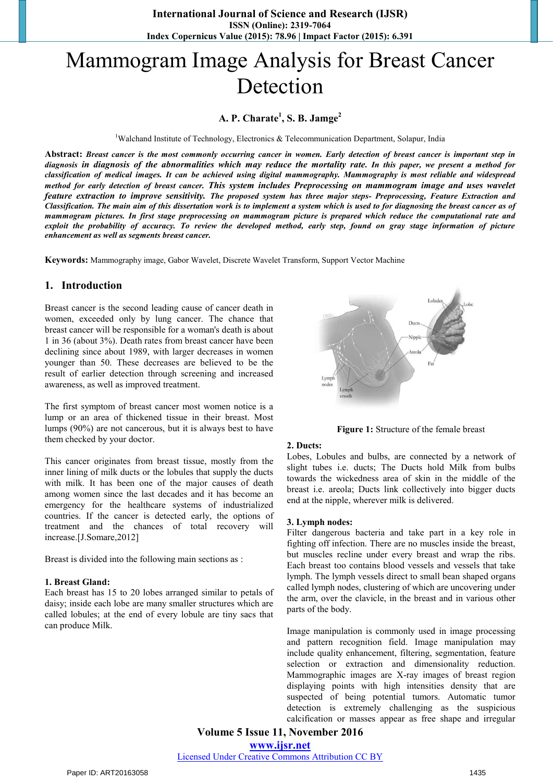# Mammogram Image Analysis for Breast Cancer Detection

# **A. P. Charate<sup>1</sup> , S. B. Jamge<sup>2</sup>**

<sup>1</sup>Walchand Institute of Technology, Electronics & Telecommunication Department, Solapur, India

**Abstract:** *Breast cancer is the most commonly occurring cancer in women. Early detection of breast cancer is important step in diagnosis in diagnosis of the abnormalities which may reduce the mortality rate. In this paper, we present a method for classification of medical images. It can be achieved using digital mammography. Mammography is most reliable and widespread method for early detection of breast cancer. This system includes Preprocessing on mammogram image and uses wavelet feature extraction to improve sensitivity. The proposed system has three major steps- Preprocessing, Feature Extraction and Classification. The main aim of this dissertation work is to implement a system which is used to for diagnosing the breast cancer as of mammogram pictures. In first stage preprocessing on mammogram picture is prepared which reduce the computational rate and exploit the probability of accuracy. To review the developed method, early step, found on gray stage information of picture enhancement as well as segments breast cancer.*

**Keywords:** Mammography image, Gabor Wavelet, Discrete Wavelet Transform, Support Vector Machine

#### **1. Introduction**

Breast cancer is the second leading cause of cancer death in women, exceeded only by lung cancer. The chance that breast cancer will be responsible for a woman's death is about 1 in 36 (about 3%). Death rates from breast cancer have been declining since about 1989, with larger decreases in women younger than 50. These decreases are believed to be the result of earlier detection through screening and increased awareness, as well as improved treatment.

The first symptom of breast cancer most women notice is a lump or an area of thickened tissue in their breast. Most lumps (90%) are not cancerous, but it is always best to have them checked by your doctor.

This cancer originates from breast tissue, mostly from the inner lining of milk ducts or the lobules that supply the ducts with milk. It has been one of the major causes of death among women since the last decades and it has become an emergency for the healthcare systems of industrialized countries. If the cancer is detected early, the options of treatment and the chances of total recovery will increase.[J.Somare,2012]

Breast is divided into the following main sections as :

#### **1. Breast Gland:**

Each breast has 15 to 20 lobes arranged similar to petals of daisy; inside each lobe are many smaller structures which are called lobules; at the end of every lobule are tiny sacs that can produce Milk.



**Figure 1:** Structure of the female breast

#### **2. Ducts:**

Lobes, Lobules and bulbs, are connected by a network of slight tubes i.e. ducts; The Ducts hold Milk from bulbs towards the wickedness area of skin in the middle of the breast i.e. areola; Ducts link collectively into bigger ducts end at the nipple, wherever milk is delivered.

#### **3. Lymph nodes:**

Filter dangerous bacteria and take part in a key role in fighting off infection. There are no muscles inside the breast, but muscles recline under every breast and wrap the ribs. Each breast too contains blood vessels and vessels that take lymph. The lymph vessels direct to small bean shaped organs called lymph nodes, clustering of which are uncovering under the arm, over the clavicle, in the breast and in various other parts of the body.

Image manipulation is commonly used in image processing and pattern recognition field. Image manipulation may include quality enhancement, filtering, segmentation, feature selection or extraction and dimensionality reduction. Mammographic images are X-ray images of breast region displaying points with high intensities density that are suspected of being potential tumors. Automatic tumor detection is extremely challenging as the suspicious calcification or masses appear as free shape and irregular

**Volume 5 Issue 11, November 2016 www.ijsr.net**

Licensed Under Creative Commons Attribution CC BY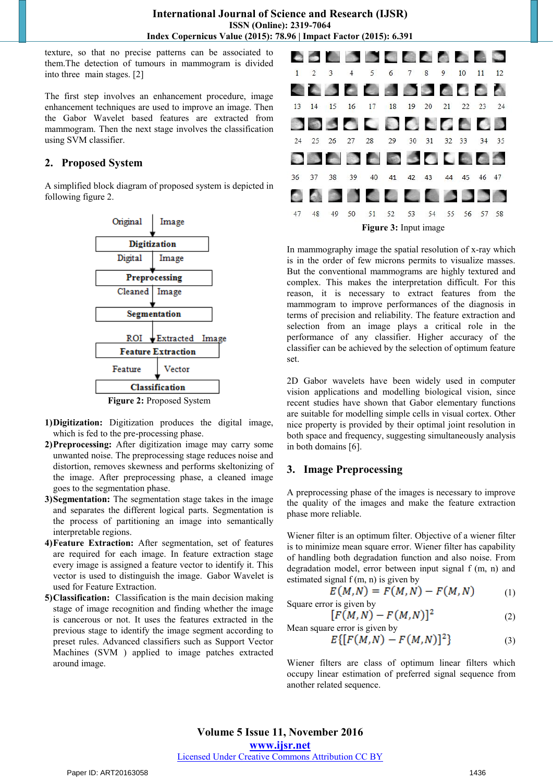texture, so that no precise patterns can be associated to them.The detection of tumours in mammogram is divided into three main stages. [2]

The first step involves an enhancement procedure, image enhancement techniques are used to improve an image. Then the Gabor Wavelet based features are extracted from mammogram. Then the next stage involves the classification using SVM classifier.

## **2. Proposed System**

A simplified block diagram of proposed system is depicted in following figure 2.



**Figure 2:** Proposed System

- **1)Digitization:** Digitization produces the digital image, which is fed to the pre-processing phase.
- **2)Preprocessing:** After digitization image may carry some unwanted noise. The preprocessing stage reduces noise and distortion, removes skewness and performs skeltonizing of the image. After preprocessing phase, a cleaned image goes to the segmentation phase.
- **3)Segmentation:** The segmentation stage takes in the image and separates the different logical parts. Segmentation is the process of partitioning an image into semantically interpretable regions.
- **4)Feature Extraction:** After segmentation, set of features are required for each image. In feature extraction stage every image is assigned a feature vector to identify it. This vector is used to distinguish the image. Gabor Wavelet is used for Feature Extraction.
- **5)Classification:** Classification is the main decision making stage of image recognition and finding whether the image is cancerous or not. It uses the features extracted in the previous stage to identify the image segment according to preset rules. Advanced classifiers such as Support Vector Machines (SVM ) applied to image patches extracted around image.



In mammography image the spatial resolution of x-ray which is in the order of few microns permits to visualize masses. But the conventional mammograms are highly textured and complex. This makes the interpretation difficult. For this reason, it is necessary to extract features from the mammogram to improve performances of the diagnosis in terms of precision and reliability. The feature extraction and selection from an image plays a critical role in the performance of any classifier. Higher accuracy of the classifier can be achieved by the selection of optimum feature set.

2D Gabor wavelets have been widely used in computer vision applications and modelling biological vision, since recent studies have shown that Gabor elementary functions are suitable for modelling simple cells in visual cortex. Other nice property is provided by their optimal joint resolution in both space and frequency, suggesting simultaneously analysis in both domains [6].

# **3. Image Preprocessing**

A preprocessing phase of the images is necessary to improve the quality of the images and make the feature extraction phase more reliable.

Wiener filter is an optimum filter. Objective of a wiener filter is to minimize mean square error. Wiener filter has capability of handling both degradation function and also noise. From degradation model, error between input signal f (m, n) and estimated signal f (m, n) is given by

$$
E(M,N) = F(M,N) - F(M,N) \tag{1}
$$

Square error is given by<br> $[F(M, N) - F(M, N)]^2$ 

Mean square error is given by 
$$
y = \frac{1}{2} \left( \frac{1}{2} \right)^{2} + \frac{1}{2} \left( \frac{1}{2} \right)^{2}
$$

$$
E\{[F(M,N) - F(M,N)]^2\}
$$
 (3)

Wiener filters are class of optimum linear filters which occupy linear estimation of preferred signal sequence from another related sequence.

**Volume 5 Issue 11, November 2016 www.ijsr.net**

### Licensed Under Creative Commons Attribution CC BY

(2)